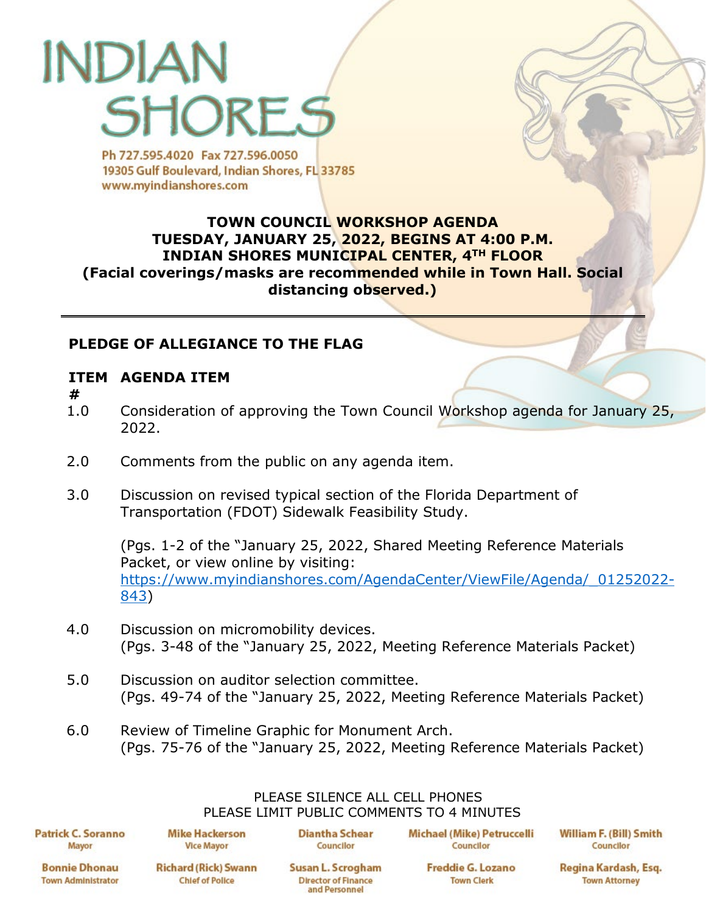# INDIA SHORE<sub>S</sub>

Ph 727,595,4020 Fax 727,596,0050 19305 Gulf Boulevard, Indian Shores, FL 33785 www.myindianshores.com

## **TOWN COUNCIL WORKSHOP AGENDA TUESDAY, JANUARY 25, 2022, BEGINS AT 4:00 P.M. INDIAN SHORES MUNICIPAL CENTER, 4TH FLOOR (Facial coverings/masks are recommended while in Town Hall. Social distancing observed.)**

## **PLEDGE OF ALLEGIANCE TO THE FLAG**

## **ITEM AGENDA ITEM**

- **#**
- 1.0 Consideration of approving the Town Council Workshop agenda for January 25, 2022.
- 2.0 Comments from the public on any agenda item.
- 3.0 Discussion on revised typical section of the Florida Department of Transportation (FDOT) Sidewalk Feasibility Study.

(Pgs. 1-2 of the "January 25, 2022, Shared Meeting Reference Materials Packet, or view online by visiting: [https://www.myindianshores.com/AgendaCenter/ViewFile/Agenda/\\_01252022-](https://www.myindianshores.com/AgendaCenter/ViewFile/Agenda/_01252022-843) [843\)](https://www.myindianshores.com/AgendaCenter/ViewFile/Agenda/_01252022-843)

- 4.0 Discussion on micromobility devices. (Pgs. 3-48 of the "January 25, 2022, Meeting Reference Materials Packet)
- 5.0 Discussion on auditor selection committee. (Pgs. 49-74 of the "January 25, 2022, Meeting Reference Materials Packet)
- 6.0 Review of Timeline Graphic for Monument Arch. (Pgs. 75-76 of the "January 25, 2022, Meeting Reference Materials Packet)

#### PLEASE SILENCE ALL CELL PHONES PLEASE LIMIT PUBLIC COMMENTS TO 4 MINUTES

**Patrick C. Soranno** Mayor

**Mike Hackerson Vice Mayor** 

**Diantha Schear** Councilor

Michael (Mike) Petruccelli Councilor

**William F. (Bill) Smith** Councilor

**Bonnie Dhonau Town Administrator**  **Richard (Rick) Swann Chief of Police** 

Susan L. Scrogham **Director of Finance** and Personnel

**Freddie G. Lozano Town Clerk** 

Regina Kardash, Esg.

**Town Attorney**